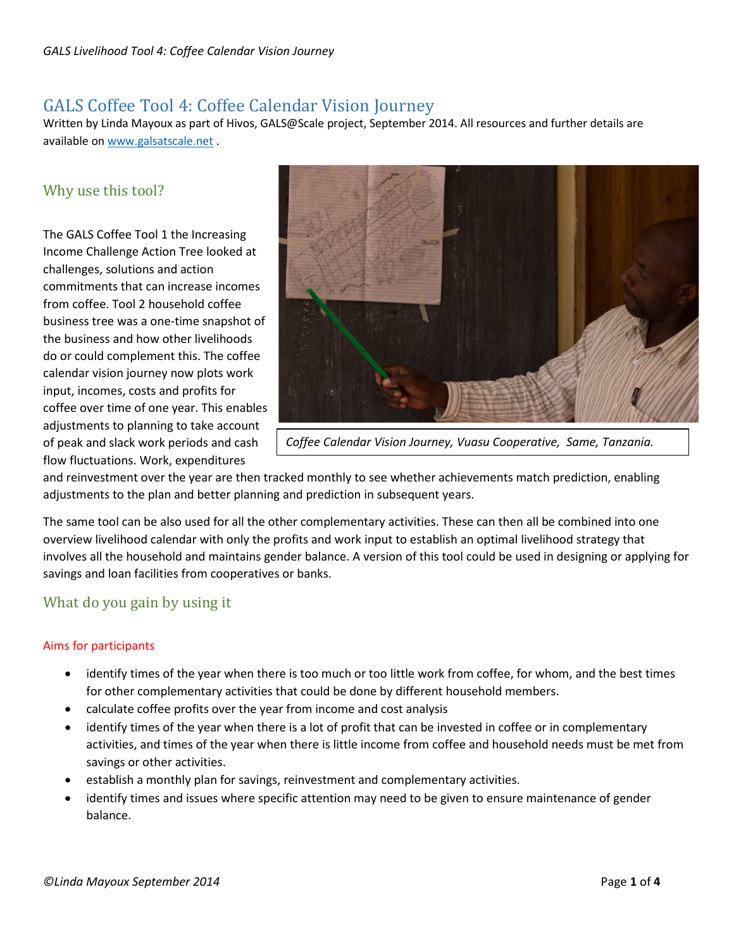# GALS Coffee Tool 4: Coffee Calendar Vision Journey

Written by Linda Mayoux as part of Hivos, GALS@Scale project, September 2014. All resources and further details are available o[n www.galsatscale.net](http://www.galsatscale.net/) .

# Why use this tool?

The GALS Coffee Tool 1 the Increasing Income Challenge Action Tree looked at challenges, solutions and action commitments that can increase incomes from coffee. Tool 2 household coffee business tree was a one-time snapshot of the business and how other livelihoods do or could complement this. The coffee calendar vision journey now plots work input, incomes, costs and profits for coffee over time of one year. This enables adjustments to planning to take account of peak and slack work periods and cash flow fluctuations. Work, expenditures



*Coffee Calendar Vision Journey, Vuasu Cooperative, Same, Tanzania.*

and reinvestment over the year are then tracked monthly to see whether achievements match prediction, enabling adjustments to the plan and better planning and prediction in subsequent years.

The same tool can be also used for all the other complementary activities. These can then all be combined into one overview livelihood calendar with only the profits and work input to establish an optimal livelihood strategy that involves all the household and maintains gender balance. A version of this tool could be used in designing or applying for savings and loan facilities from cooperatives or banks.

# What do you gain by using it

## Aims for participants

- identify times of the year when there is too much or too little work from coffee, for whom, and the best times for other complementary activities that could be done by different household members.
- calculate coffee profits over the year from income and cost analysis
- identify times of the year when there is a lot of profit that can be invested in coffee or in complementary activities, and times of the year when there is little income from coffee and household needs must be met from savings or other activities.
- establish a monthly plan for savings, reinvestment and complementary activities.
- identify times and issues where specific attention may need to be given to ensure maintenance of gender balance.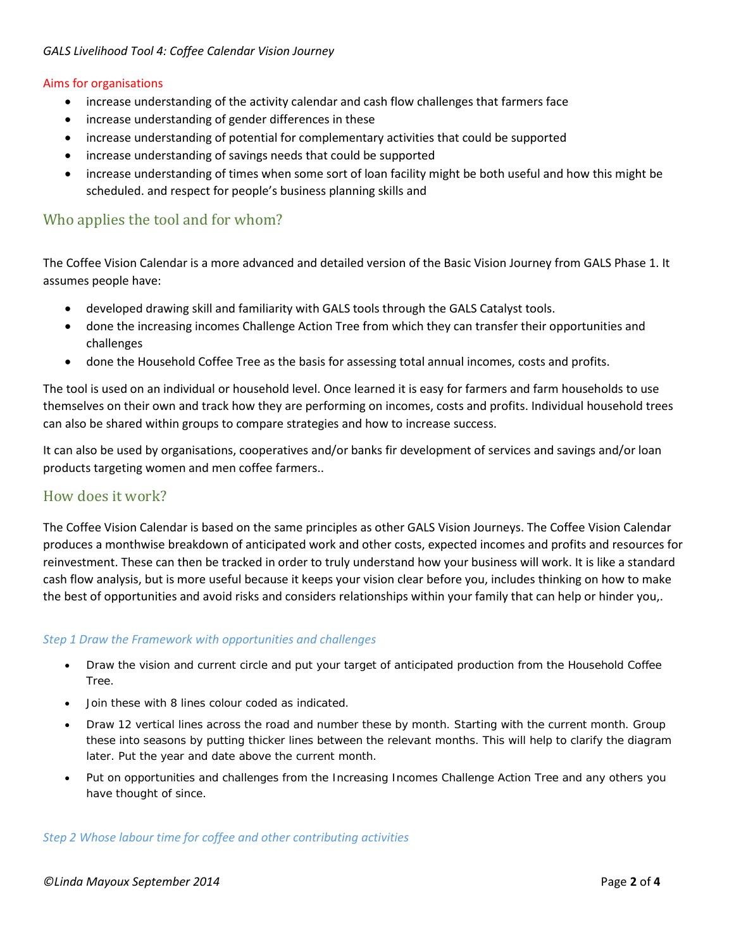### *GALS Livelihood Tool 4: Coffee Calendar Vision Journey*

#### Aims for organisations

- increase understanding of the activity calendar and cash flow challenges that farmers face
- increase understanding of gender differences in these
- increase understanding of potential for complementary activities that could be supported
- increase understanding of savings needs that could be supported
- increase understanding of times when some sort of loan facility might be both useful and how this might be scheduled. and respect for people's business planning skills and

## Who applies the tool and for whom?

The Coffee Vision Calendar is a more advanced and detailed version of the Basic Vision Journey from GALS Phase 1. It assumes people have:

- developed drawing skill and familiarity with GALS tools through the GALS Catalyst tools.
- done the increasing incomes Challenge Action Tree from which they can transfer their opportunities and challenges
- done the Household Coffee Tree as the basis for assessing total annual incomes, costs and profits.

The tool is used on an individual or household level. Once learned it is easy for farmers and farm households to use themselves on their own and track how they are performing on incomes, costs and profits. Individual household trees can also be shared within groups to compare strategies and how to increase success.

It can also be used by organisations, cooperatives and/or banks fir development of services and savings and/or loan products targeting women and men coffee farmers..

## How does it work?

The Coffee Vision Calendar is based on the same principles as other GALS Vision Journeys. The Coffee Vision Calendar produces a monthwise breakdown of anticipated work and other costs, expected incomes and profits and resources for reinvestment. These can then be tracked in order to truly understand how your business will work. It is like a standard cash flow analysis, but is more useful because it keeps your vision clear before you, includes thinking on how to make the best of opportunities and avoid risks and considers relationships within your family that can help or hinder you,.

## *Step 1 Draw the Framework with opportunities and challenges*

- Draw the vision and current circle and put your target of anticipated production from the Household Coffee Tree.
- Join these with 8 lines colour coded as indicated.
- Draw 12 vertical lines across the road and number these by month. Starting with the current month. Group these into seasons by putting thicker lines between the relevant months. This will help to clarify the diagram later. Put the year and date above the current month.
- Put on opportunities and challenges from the Increasing Incomes Challenge Action Tree and any others you have thought of since.

#### *Step 2 Whose labour time for coffee and other contributing activities*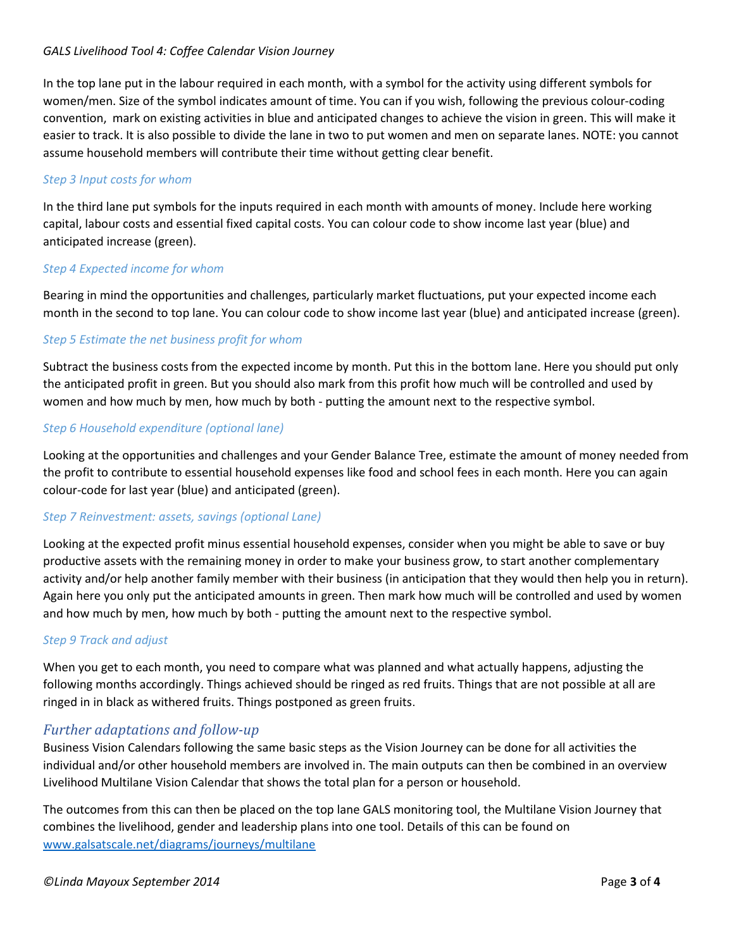## *GALS Livelihood Tool 4: Coffee Calendar Vision Journey*

In the top lane put in the labour required in each month, with a symbol for the activity using different symbols for women/men. Size of the symbol indicates amount of time. You can if you wish, following the previous colour-coding convention, mark on existing activities in blue and anticipated changes to achieve the vision in green. This will make it easier to track. It is also possible to divide the lane in two to put women and men on separate lanes. NOTE: you cannot assume household members will contribute their time without getting clear benefit.

## *Step 3 Input costs for whom*

In the third lane put symbols for the inputs required in each month with amounts of money. Include here working capital, labour costs and essential fixed capital costs. You can colour code to show income last year (blue) and anticipated increase (green).

## *Step 4 Expected income for whom*

Bearing in mind the opportunities and challenges, particularly market fluctuations, put your expected income each month in the second to top lane. You can colour code to show income last year (blue) and anticipated increase (green).

## *Step 5 Estimate the net business profit for whom*

Subtract the business costs from the expected income by month. Put this in the bottom lane. Here you should put only the anticipated profit in green. But you should also mark from this profit how much will be controlled and used by women and how much by men, how much by both - putting the amount next to the respective symbol.

## *Step 6 Household expenditure (optional lane)*

Looking at the opportunities and challenges and your Gender Balance Tree, estimate the amount of money needed from the profit to contribute to essential household expenses like food and school fees in each month. Here you can again colour-code for last year (blue) and anticipated (green).

## *Step 7 Reinvestment: assets, savings (optional Lane)*

Looking at the expected profit minus essential household expenses, consider when you might be able to save or buy productive assets with the remaining money in order to make your business grow, to start another complementary activity and/or help another family member with their business (in anticipation that they would then help you in return). Again here you only put the anticipated amounts in green. Then mark how much will be controlled and used by women and how much by men, how much by both - putting the amount next to the respective symbol.

## *Step 9 Track and adjust*

When you get to each month, you need to compare what was planned and what actually happens, adjusting the following months accordingly. Things achieved should be ringed as red fruits. Things that are not possible at all are ringed in in black as withered fruits. Things postponed as green fruits.

## *Further adaptations and follow-up*

Business Vision Calendars following the same basic steps as the Vision Journey can be done for all activities the individual and/or other household members are involved in. The main outputs can then be combined in an overview Livelihood Multilane Vision Calendar that shows the total plan for a person or household.

The outcomes from this can then be placed on the top lane GALS monitoring tool, the Multilane Vision Journey that combines the livelihood, gender and leadership plans into one tool. Details of this can be found on [www.galsatscale.net/diagrams/journeys/multilane](http://www.galsatscale.net/diagrams/journeys/multilane)